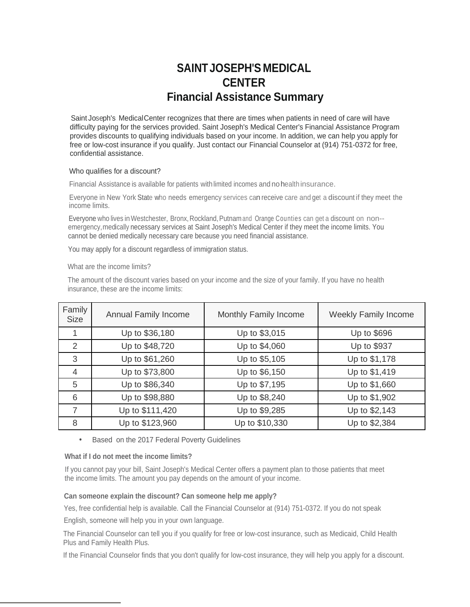# **SAINTJOSEPH'S MEDICAL CENTER Financial Assistance Summary**

Saint Joseph's MedicalCenter recognizes that there are times when patients in need of care will have difficulty paying for the services provided. Saint Joseph's Medical Center's Financial Assistance Program provides discounts to qualifying individuals based on your income. In addition, we can help you apply for free or low-cost insurance if you qualify. Just contact our Financial Counselor at (914) 751-0372 for free, confidential assistance.

#### Who qualifies for a discount?

Financial Assistance is available for patients with limited incomes and no health insurance.

Everyone in New York State who needs emergency services can receive care and get <sup>a</sup> discount if they meet the income limits.

Everyone who lives in Westchester, Bronx, Rockland, Putnamand Orange Counties can get a discount on non-emergency,medically necessary services at Saint Joseph's Medical Center if they meet the income limits. You cannot be denied medically necessary care because you need financial assistance.

You may apply for a discount regardless of immigration status.

What are the income limits?

The amount of the discount varies based on your income and the size of your family. If you have no health insurance, these are the income limits:

| Family<br>Size | <b>Annual Family Income</b> | Monthly Family Income | <b>Weekly Family Income</b> |
|----------------|-----------------------------|-----------------------|-----------------------------|
|                | Up to \$36,180              | Up to \$3,015         | Up to \$696                 |
| 2              | Up to \$48,720              | Up to \$4,060         | Up to \$937                 |
| 3              | Up to \$61,260              | Up to \$5,105         | Up to \$1,178               |
| 4              | Up to \$73,800              | Up to \$6,150         | Up to \$1,419               |
| 5              | Up to \$86,340              | Up to \$7,195         | Up to \$1,660               |
| 6              | Up to \$98,880              | Up to \$8,240         | Up to \$1,902               |
|                | Up to \$111,420             | Up to \$9,285         | Up to \$2,143               |
| 8              | Up to \$123,960             | Up to \$10,330        | Up to \$2,384               |

Based on the 2017 Federal Poverty Guidelines

## **What if I do not meet the income limits?**

If you cannot pay your bill, Saint Joseph's Medical Center offers a payment plan to those patients that meet the income limits. The amount you pay depends on the amount of your income.

# **Can someone explain the discount? Can someone help me apply?**

Yes, free confidential help is available. Call the Financial Counselor at (914) 751-0372. If you do not speak

English, someone will help you in your own language.

The Financial Counselor can tell you if you qualify for free or low-cost insurance, such as Medicaid, Child Health Plus and Family Health Plus.

If the Financial Counselor finds that you don't qualify for low-cost insurance, they will help you apply for a discount.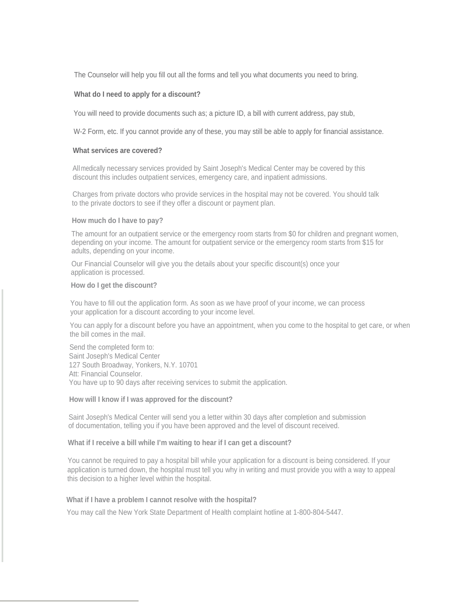The Counselor will help you fill out all the forms and tell you what documents you need to bring.

## **What do I need to apply for a discount?**

You will need to provide documents such as; a picture ID, a bill with current address, pay stub,

W-2 Form, etc. If you cannot provide any of these, you may still be able to apply for financial assistance.

#### **What services are covered?**

All medically necessary services provided by Saint Joseph's Medical Center may be covered by this discount this includes outpatient services, emergency care, and inpatient admissions.

Charges from private doctors who provide services in the hospital may not be covered. You should talk to the private doctors to see if they offer a discount or payment plan.

## **How much do I have to pay?**

The amount for an outpatient service or the emergency room starts from \$0 for children and pregnant women, depending on your income. The amount for outpatient service or the emergency room starts from \$15 for adults, depending on your income.

Our Financial Counselor will give you the details about your specific discount(s) once your application is processed.

#### **How do I get the discount?**

You have to fill out the application form. As soon as we have proof of your income, we can process your application for a discount according to your income level.

You can apply for a discount before you have an appointment, when you come to the hospital to get care, or when the bill comes in the mail.

Send the completed form to: Saint Joseph's Medical Center 127 South Broadway, Yonkers, N.Y. 10701 Att: Financial Counselor. You have up to 90 days after receiving services to submit the application.

#### **How will I know if I was approved for the discount?**

Saint Joseph's Medical Center will send you a letter within 30 days after completion and submission of documentation, telling you if you have been approved and the level of discount received.

## **What if I receive a bill while I'm waiting to hear if I can get a discount?**

You cannot be required to pay a hospital bill while your application for a discount is being considered. If your application is turned down, the hospital must tell you why in writing and must provide you with a way to appeal this decision to a higher level within the hospital.

#### **What if I have a problem I cannot resolve with the hospital?**

You may call the New York State Department of Health complaint hotline at 1-800-804-5447.